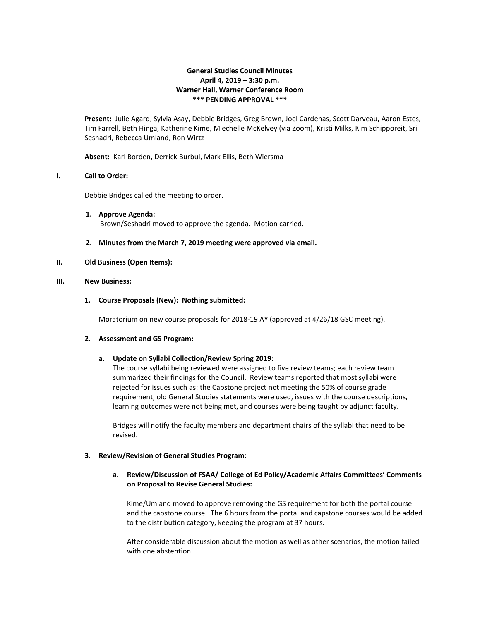# **General Studies Council Minutes April 4, 2019 – 3:30 p.m. Warner Hall, Warner Conference Room \*\*\* PENDING APPROVAL \*\*\***

**Present:** Julie Agard, Sylvia Asay, Debbie Bridges, Greg Brown, Joel Cardenas, Scott Darveau, Aaron Estes, Tim Farrell, Beth Hinga, Katherine Kime, Miechelle McKelvey (via Zoom), Kristi Milks, Kim Schipporeit, Sri Seshadri, Rebecca Umland, Ron Wirtz

**Absent:** Karl Borden, Derrick Burbul, Mark Ellis, Beth Wiersma

## **I. Call to Order:**

Debbie Bridges called the meeting to order.

- **1. Approve Agenda:** Brown/Seshadri moved to approve the agenda. Motion carried.
- **2. Minutes from the March 7, 2019 meeting were approved via email.**

## **II. Old Business (Open Items):**

#### **III. New Business:**

## **1. Course Proposals (New): Nothing submitted:**

Moratorium on new course proposals for 2018-19 AY (approved at 4/26/18 GSC meeting).

#### **2. Assessment and GS Program:**

#### **a. Update on Syllabi Collection/Review Spring 2019:**

The course syllabi being reviewed were assigned to five review teams; each review team summarized their findings for the Council. Review teams reported that most syllabi were rejected for issues such as: the Capstone project not meeting the 50% of course grade requirement, old General Studies statements were used, issues with the course descriptions, learning outcomes were not being met, and courses were being taught by adjunct faculty.

Bridges will notify the faculty members and department chairs of the syllabi that need to be revised.

#### **3. Review/Revision of General Studies Program:**

# **a. Review/Discussion of FSAA/ College of Ed Policy/Academic Affairs Committees' Comments on Proposal to Revise General Studies:**

Kime/Umland moved to approve removing the GS requirement for both the portal course and the capstone course. The 6 hours from the portal and capstone courses would be added to the distribution category, keeping the program at 37 hours.

After considerable discussion about the motion as well as other scenarios, the motion failed with one abstention.